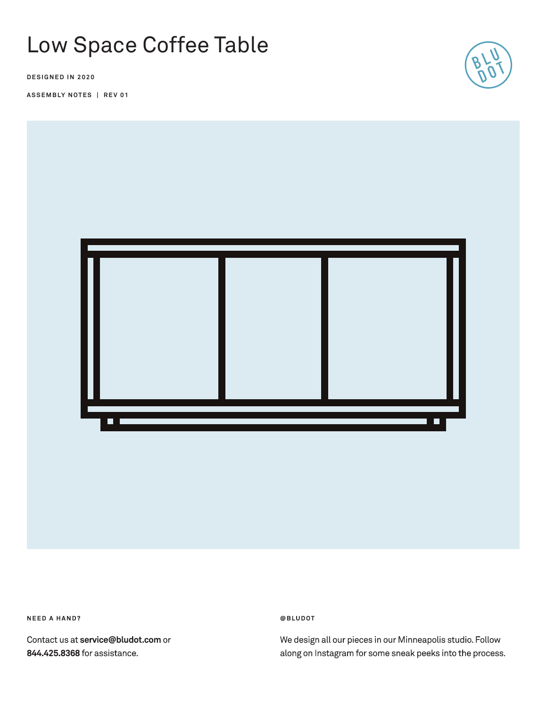# Low Space Coffee Table

**DESIGNED IN 2020**

**ASSEMBLY NOTES | REV 01**





**NEED A HAND?** 

Contact us at service@bludot.com or 844.425.8368 for assistance.

@BLUDOT

We design all our pieces in our Minneapolis studio. Follow along on Instagram for some sneak peeks into the process.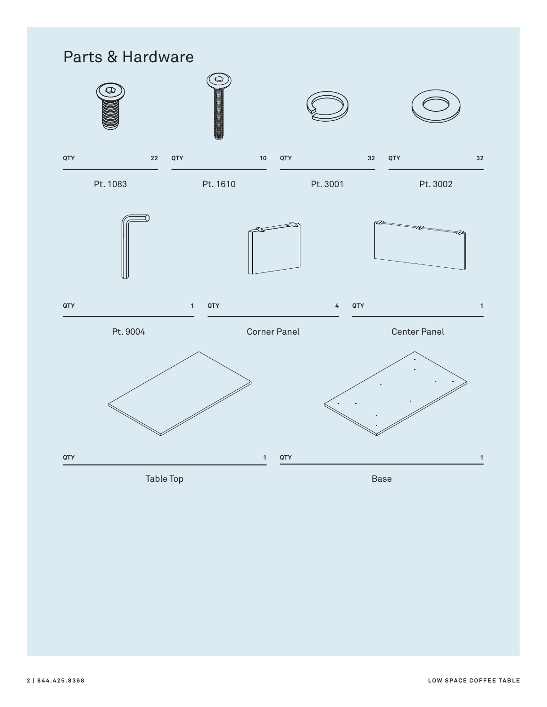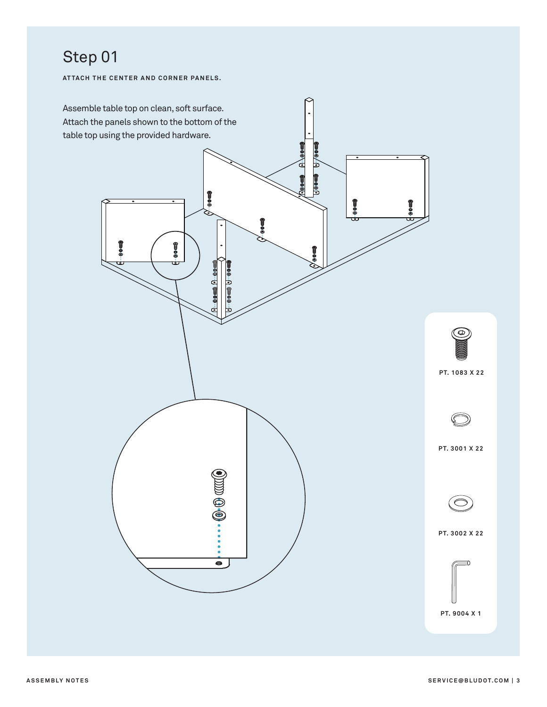## Step 01

**ATTACH THE CENTER AND CORNER PANELS.**

![](_page_2_Figure_2.jpeg)